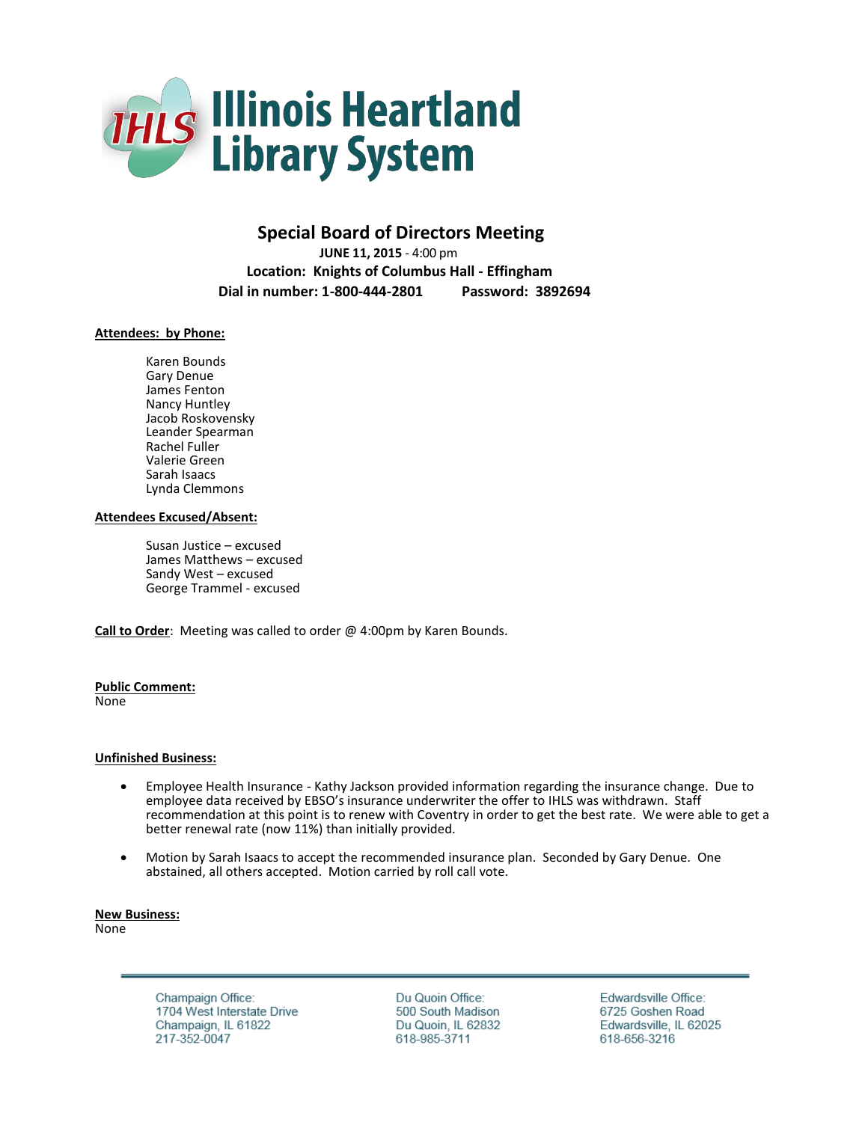

# **Special Board of Directors Meeting**

 **JUNE 11, 2015** - 4:00 pm  **Location: Knights of Columbus Hall - Effingham Dial in number: 1-800-444-2801 Password: 3892694**

## **Attendees: by Phone:**

Karen Bounds Gary Denue James Fenton Nancy Huntley Jacob Roskovensky Leander Spearman Rachel Fuller Valerie Green Sarah Isaacs Lynda Clemmons

### **Attendees Excused/Absent:**

Susan Justice – excused James Matthews – excused Sandy West – excused George Trammel - excused

**Call to Order**: Meeting was called to order @ 4:00pm by Karen Bounds.

#### **Public Comment:**

None

### **Unfinished Business:**

- Employee Health Insurance Kathy Jackson provided information regarding the insurance change. Due to employee data received by EBSO's insurance underwriter the offer to IHLS was withdrawn. Staff recommendation at this point is to renew with Coventry in order to get the best rate. We were able to get a better renewal rate (now 11%) than initially provided.
- Motion by Sarah Isaacs to accept the recommended insurance plan. Seconded by Gary Denue. One abstained, all others accepted. Motion carried by roll call vote.

**New Business:** None

> Champaign Office: 1704 West Interstate Drive Champaign, IL 61822 217-352-0047

Du Quoin Office: 500 South Madison Du Quoin, IL 62832 618-985-3711

Edwardsville Office: 6725 Goshen Road Edwardsville, IL 62025 618-656-3216